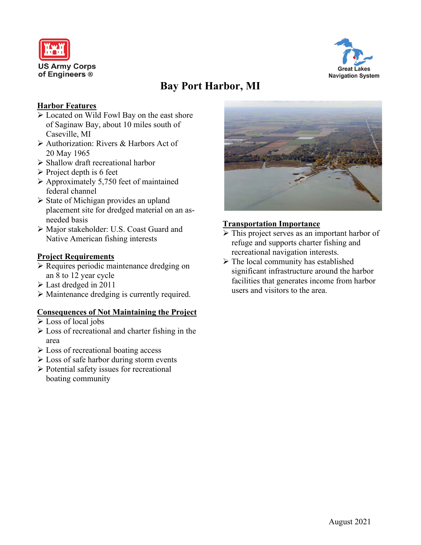



# **Bay Port Harbor, MI**

## **Harbor Features**

- Located on Wild Fowl Bay on the east shore of Saginaw Bay, about 10 miles south of Caseville, MI
- Authorization: Rivers & Harbors Act of 20 May 1965
- Shallow draft recreational harbor
- $\triangleright$  Project depth is 6 feet
- $\triangleright$  Approximately 5,750 feet of maintained federal channel
- $\triangleright$  State of Michigan provides an upland placement site for dredged material on an asneeded basis
- Major stakeholder: U.S. Coast Guard and Native American fishing interests

### **Project Requirements**

- Requires periodic maintenance dredging on an 8 to 12 year cycle
- Last dredged in 2011
- Maintenance dredging is currently required.

#### **Consequences of Not Maintaining the Project**

- Loss of local jobs
- $\triangleright$  Loss of recreational and charter fishing in the area
- $\triangleright$  Loss of recreational boating access
- $\triangleright$  Loss of safe harbor during storm events
- $\triangleright$  Potential safety issues for recreational boating community



## **Transportation Importance**

- > This project serves as an important harbor of refuge and supports charter fishing and recreational navigation interests.
- $\triangleright$  The local community has established significant infrastructure around the harbor facilities that generates income from harbor users and visitors to the area.